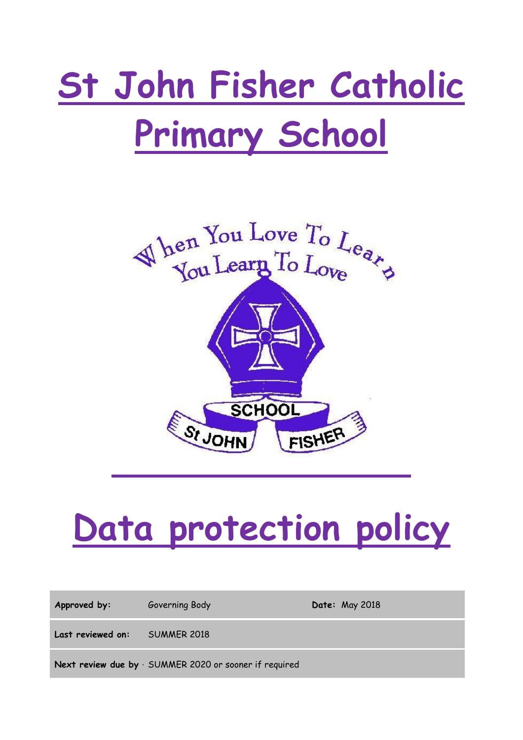# **St John Fisher Catholic Primary School**



## **Data protection policy**

Approved by: Governing Body **Date:** May 2018 **Last reviewed on:** SUMMER 2018

**Next review due by SUMMER 2020 or sooner if required**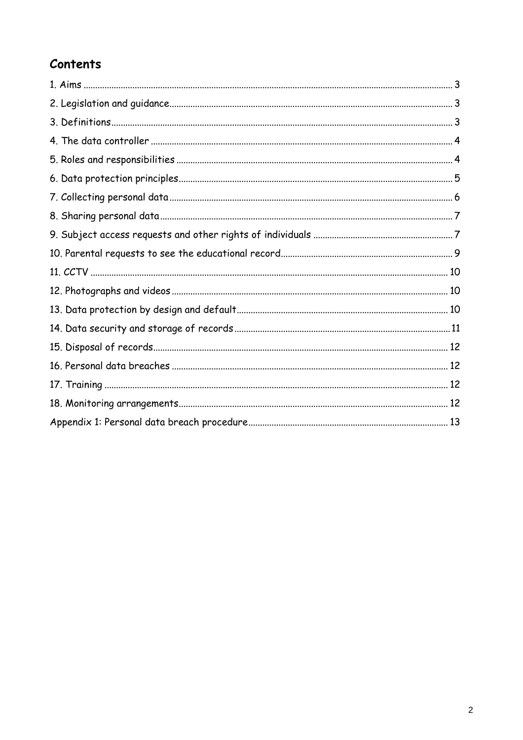## **Contents**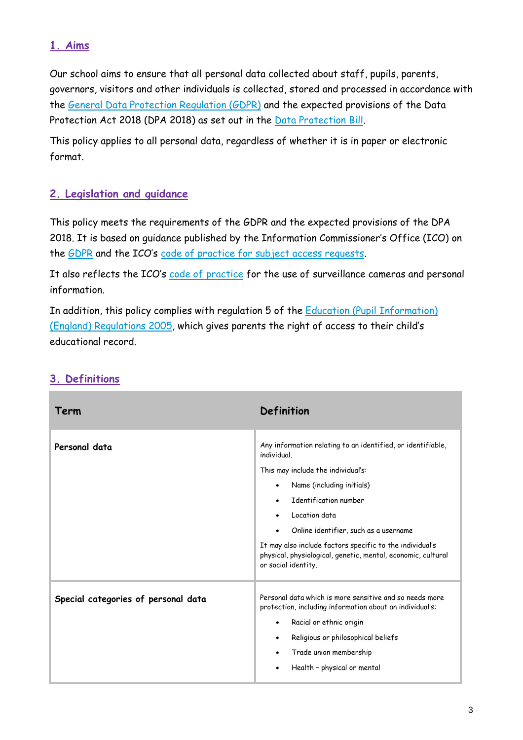## **1. Aims**

Our school aims to ensure that all personal data collected about staff, pupils, parents, governors, visitors and other individuals is collected, stored and processed in accordance with the [General Data Protection Regulation \(GDPR\)](http://data.consilium.europa.eu/doc/document/ST-5419-2016-INIT/en/pdf) and the expected provisions of the Data Protection Act 2018 (DPA 2018) as set out in the [Data Protection Bill.](https://publications.parliament.uk/pa/bills/cbill/2017-2019/0153/18153.pdf)

This policy applies to all personal data, regardless of whether it is in paper or electronic format.

## **2. Legislation and guidance**

This policy meets the requirements of the GDPR and the expected provisions of the DPA 2018. It is based on guidance published by the Information Commissioner's Office (ICO) on the [GDPR](https://ico.org.uk/for-organisations/guide-to-the-general-data-protection-regulation-gdpr/) and the ICO's [code of practice for subject access requests.](https://ico.org.uk/media/for-organisations/documents/2014223/subject-access-code-of-practice.pdf)

It also reflects the ICO's [code of practice](https://ico.org.uk/media/for-organisations/documents/1542/cctv-code-of-practice.pdf) for the use of surveillance cameras and personal information.

In addition, this policy complies with regulation 5 of the [Education \(Pupil Information\)](http://www.legislation.gov.uk/uksi/2005/1437/regulation/5/made)  [\(England\) Regulations 2005,](http://www.legislation.gov.uk/uksi/2005/1437/regulation/5/made) which gives parents the right of access to their child's educational record.

| Term                                | Definition                                                                                                                                                                                                                                                                                                                                                                          |
|-------------------------------------|-------------------------------------------------------------------------------------------------------------------------------------------------------------------------------------------------------------------------------------------------------------------------------------------------------------------------------------------------------------------------------------|
| Personal data                       | Any information relating to an identified, or identifiable,<br>individual.<br>This may include the individual's:<br>Name (including initials)<br>Identification number<br>Location data<br>Online identifier, such as a username<br>It may also include factors specific to the individual's<br>physical, physiological, genetic, mental, economic, cultural<br>or social identity. |
| Special categories of personal data | Personal data which is more sensitive and so needs more<br>protection, including information about an individual's:<br>Racial or ethnic origin<br>٠<br>Religious or philosophical beliefs<br>$\bullet$<br>Trade union membership<br>$\bullet$<br>Health - physical or mental<br>٠                                                                                                   |

## **3. Definitions**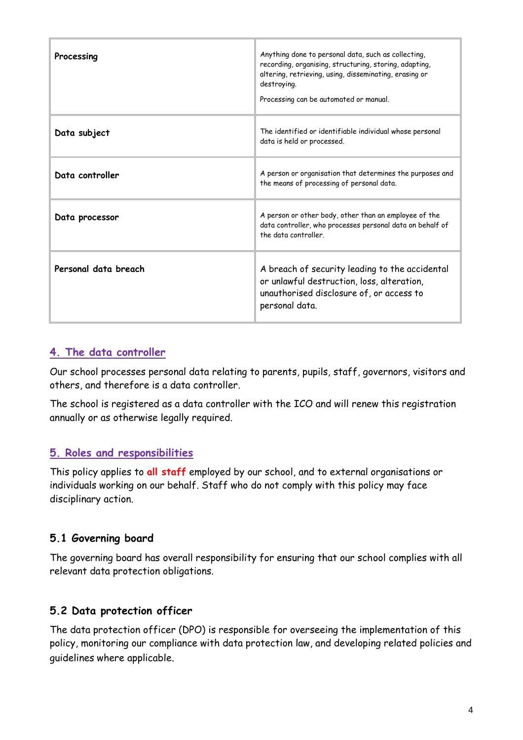| Processing           | Anything done to personal data, such as collecting,<br>recording, organising, structuring, storing, adapting,<br>altering, retrieving, using, disseminating, erasing or<br>destroying.<br>Processing can be automated or manual. |
|----------------------|----------------------------------------------------------------------------------------------------------------------------------------------------------------------------------------------------------------------------------|
| Data subject         | The identified or identifiable individual whose personal<br>data is held or processed.                                                                                                                                           |
| Data controller      | A person or organisation that determines the purposes and<br>the means of processing of personal data.                                                                                                                           |
| Data processor       | A person or other body, other than an employee of the<br>data controller, who processes personal data on behalf of<br>the data controller                                                                                        |
| Personal data breach | A breach of security leading to the accidental<br>or unlawful destruction, loss, alteration,<br>unauthorised disclosure of, or access to<br>personal data.                                                                       |

## **4. The data controller**

Our school processes personal data relating to parents, pupils, staff, governors, visitors and others, and therefore is a data controller.

The school is registered as a data controller with the ICO and will renew this registration annually or as otherwise legally required.

## **5. Roles and responsibilities**

This policy applies to **all staff** employed by our school, and to external organisations or individuals working on our behalf. Staff who do not comply with this policy may face disciplinary action.

## **5.1 Governing board**

The governing board has overall responsibility for ensuring that our school complies with all relevant data protection obligations.

## **5.2 Data protection officer**

The data protection officer (DPO) is responsible for overseeing the implementation of this policy, monitoring our compliance with data protection law, and developing related policies and guidelines where applicable.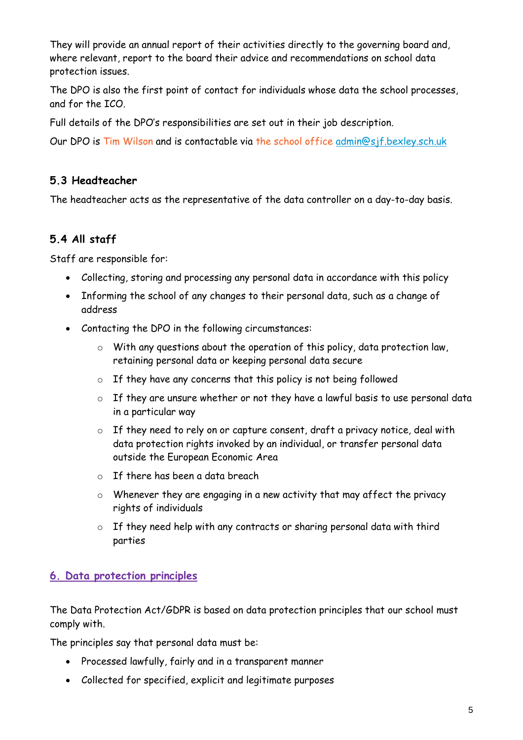They will provide an annual report of their activities directly to the governing board and, where relevant, report to the board their advice and recommendations on school data protection issues.

The DPO is also the first point of contact for individuals whose data the school processes, and for the ICO.

Full details of the DPO's responsibilities are set out in their job description.

Our DPO is Tim Wilson and is contactable via the school office [admin@sjf.bexley.sch.uk](mailto:admin@sjf.bexley.sch.uk)

## **5.3 Headteacher**

The headteacher acts as the representative of the data controller on a day-to-day basis.

## **5.4 All staff**

Staff are responsible for:

- Collecting, storing and processing any personal data in accordance with this policy
- Informing the school of any changes to their personal data, such as a change of address
- Contacting the DPO in the following circumstances:
	- o With any questions about the operation of this policy, data protection law, retaining personal data or keeping personal data secure
	- $\circ$  If they have any concerns that this policy is not being followed
	- o If they are unsure whether or not they have a lawful basis to use personal data in a particular way
	- o If they need to rely on or capture consent, draft a privacy notice, deal with data protection rights invoked by an individual, or transfer personal data outside the European Economic Area
	- $\circ$  If there has been a data breach
	- o Whenever they are engaging in a new activity that may affect the privacy rights of individuals
	- o If they need help with any contracts or sharing personal data with third parties

## **6. Data protection principles**

The Data Protection Act/GDPR is based on data protection principles that our school must comply with.

The principles say that personal data must be:

- Processed lawfully, fairly and in a transparent manner
- Collected for specified, explicit and legitimate purposes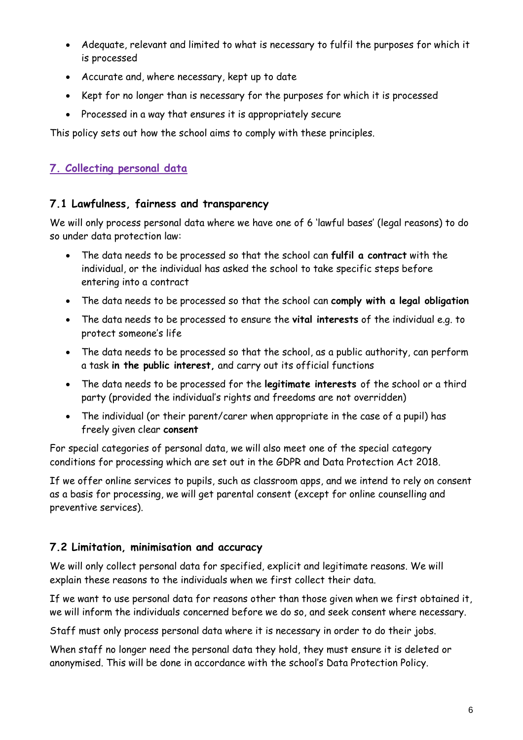- Adequate, relevant and limited to what is necessary to fulfil the purposes for which it is processed
- Accurate and, where necessary, kept up to date
- Kept for no longer than is necessary for the purposes for which it is processed
- Processed in a way that ensures it is appropriately secure

This policy sets out how the school aims to comply with these principles.

## **7. Collecting personal data**

## **7.1 Lawfulness, fairness and transparency**

We will only process personal data where we have one of 6 'lawful bases' (legal reasons) to do so under data protection law:

- The data needs to be processed so that the school can **fulfil a contract** with the individual, or the individual has asked the school to take specific steps before entering into a contract
- The data needs to be processed so that the school can **comply with a legal obligation**
- The data needs to be processed to ensure the **vital interests** of the individual e.g. to protect someone's life
- The data needs to be processed so that the school, as a public authority, can perform a task **in the public interest,** and carry out its official functions
- The data needs to be processed for the **legitimate interests** of the school or a third party (provided the individual's rights and freedoms are not overridden)
- The individual (or their parent/carer when appropriate in the case of a pupil) has freely given clear **consent**

For special categories of personal data, we will also meet one of the special category conditions for processing which are set out in the GDPR and Data Protection Act 2018.

If we offer online services to pupils, such as classroom apps, and we intend to rely on consent as a basis for processing, we will get parental consent (except for online counselling and preventive services).

## **7.2 Limitation, minimisation and accuracy**

We will only collect personal data for specified, explicit and legitimate reasons. We will explain these reasons to the individuals when we first collect their data.

If we want to use personal data for reasons other than those given when we first obtained it, we will inform the individuals concerned before we do so, and seek consent where necessary.

Staff must only process personal data where it is necessary in order to do their jobs.

When staff no longer need the personal data they hold, they must ensure it is deleted or anonymised. This will be done in accordance with the school's Data Protection Policy.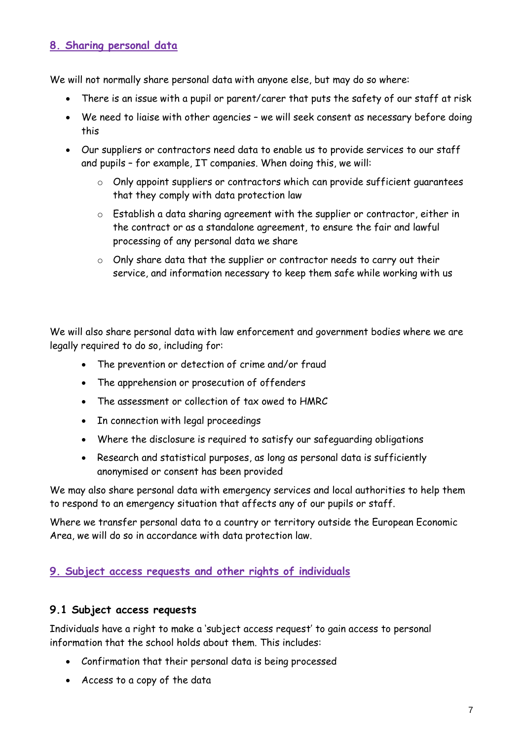## **8. Sharing personal data**

We will not normally share personal data with anyone else, but may do so where:

- There is an issue with a pupil or parent/carer that puts the safety of our staff at risk
- We need to liaise with other agencies we will seek consent as necessary before doing this
- Our suppliers or contractors need data to enable us to provide services to our staff and pupils – for example, IT companies. When doing this, we will:
	- o Only appoint suppliers or contractors which can provide sufficient guarantees that they comply with data protection law
	- o Establish a data sharing agreement with the supplier or contractor, either in the contract or as a standalone agreement, to ensure the fair and lawful processing of any personal data we share
	- o Only share data that the supplier or contractor needs to carry out their service, and information necessary to keep them safe while working with us

We will also share personal data with law enforcement and government bodies where we are legally required to do so, including for:

- The prevention or detection of crime and/or fraud
- The apprehension or prosecution of offenders
- The assessment or collection of tax owed to HMRC
- In connection with legal proceedings
- Where the disclosure is required to satisfy our safeguarding obligations
- Research and statistical purposes, as long as personal data is sufficiently anonymised or consent has been provided

We may also share personal data with emergency services and local authorities to help them to respond to an emergency situation that affects any of our pupils or staff.

Where we transfer personal data to a country or territory outside the European Economic Area, we will do so in accordance with data protection law.

## **9. Subject access requests and other rights of individuals**

#### **9.1 Subject access requests**

Individuals have a right to make a 'subject access request' to gain access to personal information that the school holds about them. This includes:

- Confirmation that their personal data is being processed
- Access to a copy of the data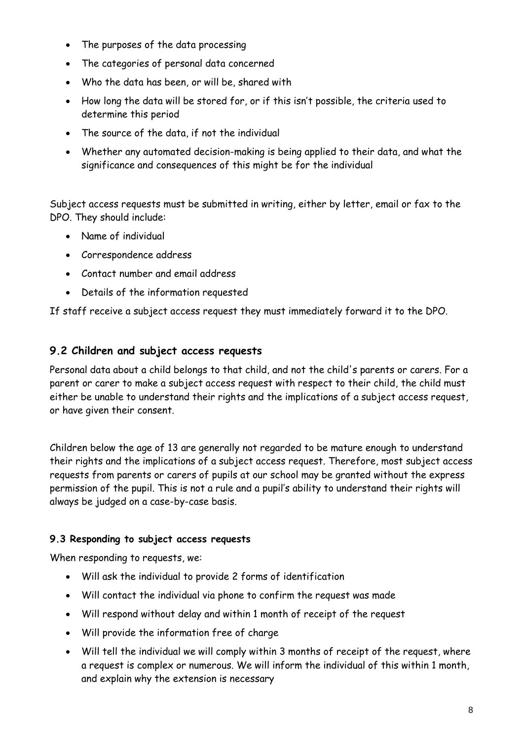- The purposes of the data processing
- The categories of personal data concerned
- Who the data has been, or will be, shared with
- How long the data will be stored for, or if this isn't possible, the criteria used to determine this period
- The source of the data, if not the individual
- Whether any automated decision-making is being applied to their data, and what the significance and consequences of this might be for the individual

Subject access requests must be submitted in writing, either by letter, email or fax to the DPO. They should include:

- Name of individual
- Correspondence address
- Contact number and email address
- Details of the information requested

If staff receive a subject access request they must immediately forward it to the DPO.

#### **9.2 Children and subject access requests**

Personal data about a child belongs to that child, and not the child's parents or carers. For a parent or carer to make a subject access request with respect to their child, the child must either be unable to understand their rights and the implications of a subject access request, or have given their consent.

Children below the age of 13 are generally not regarded to be mature enough to understand their rights and the implications of a subject access request. Therefore, most subject access requests from parents or carers of pupils at our school may be granted without the express permission of the pupil. This is not a rule and a pupil's ability to understand their rights will always be judged on a case-by-case basis.

#### **9.3 Responding to subject access requests**

When responding to requests, we:

- Will ask the individual to provide 2 forms of identification
- Will contact the individual via phone to confirm the request was made
- Will respond without delay and within 1 month of receipt of the request
- Will provide the information free of charge
- Will tell the individual we will comply within 3 months of receipt of the request, where a request is complex or numerous. We will inform the individual of this within 1 month, and explain why the extension is necessary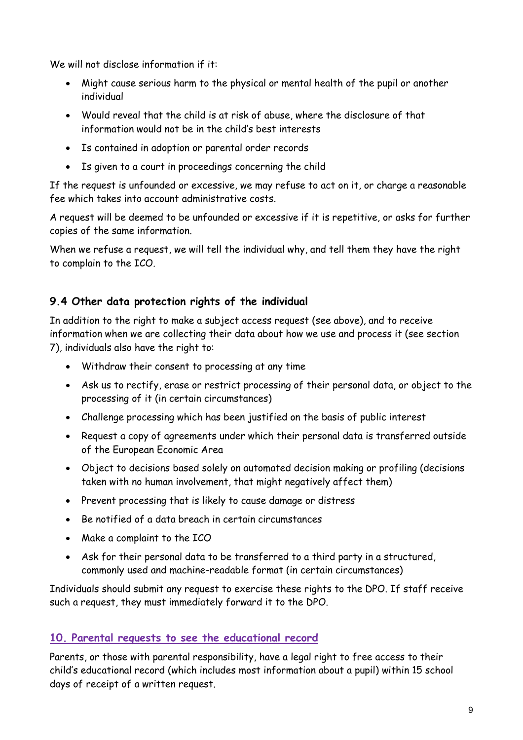We will not disclose information if it:

- Might cause serious harm to the physical or mental health of the pupil or another individual
- Would reveal that the child is at risk of abuse, where the disclosure of that information would not be in the child's best interests
- Is contained in adoption or parental order records
- Is given to a court in proceedings concerning the child

If the request is unfounded or excessive, we may refuse to act on it, or charge a reasonable fee which takes into account administrative costs.

A request will be deemed to be unfounded or excessive if it is repetitive, or asks for further copies of the same information.

When we refuse a request, we will tell the individual why, and tell them they have the right to complain to the ICO.

## **9.4 Other data protection rights of the individual**

In addition to the right to make a subject access request (see above), and to receive information when we are collecting their data about how we use and process it (see section 7), individuals also have the right to:

- Withdraw their consent to processing at any time
- Ask us to rectify, erase or restrict processing of their personal data, or object to the processing of it (in certain circumstances)
- Challenge processing which has been justified on the basis of public interest
- Request a copy of agreements under which their personal data is transferred outside of the European Economic Area
- Object to decisions based solely on automated decision making or profiling (decisions taken with no human involvement, that might negatively affect them)
- Prevent processing that is likely to cause damage or distress
- Be notified of a data breach in certain circumstances
- Make a complaint to the ICO
- Ask for their personal data to be transferred to a third party in a structured, commonly used and machine-readable format (in certain circumstances)

Individuals should submit any request to exercise these rights to the DPO. If staff receive such a request, they must immediately forward it to the DPO.

## **10. Parental requests to see the educational record**

Parents, or those with parental responsibility, have a legal right to free access to their child's educational record (which includes most information about a pupil) within 15 school days of receipt of a written request.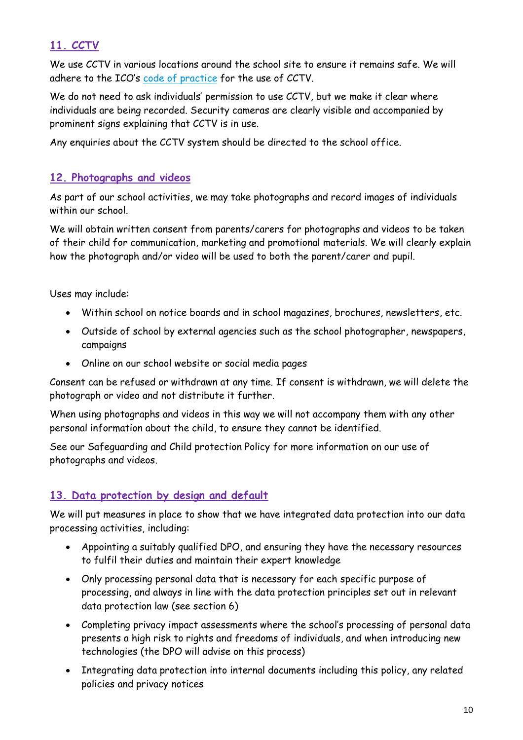## **11. CCTV**

We use CCTV in various locations around the school site to ensure it remains safe. We will adhere to the ICO's [code of practice](https://ico.org.uk/media/for-organisations/documents/1542/cctv-code-of-practice.pdf) for the use of CCTV.

We do not need to ask individuals' permission to use CCTV, but we make it clear where individuals are being recorded. Security cameras are clearly visible and accompanied by prominent signs explaining that CCTV is in use.

Any enquiries about the CCTV system should be directed to the school office.

#### **12. Photographs and videos**

As part of our school activities, we may take photographs and record images of individuals within our school

We will obtain written consent from parents/carers for photographs and videos to be taken of their child for communication, marketing and promotional materials. We will clearly explain how the photograph and/or video will be used to both the parent/carer and pupil.

Uses may include:

- Within school on notice boards and in school magazines, brochures, newsletters, etc.
- Outside of school by external agencies such as the school photographer, newspapers, campaigns
- Online on our school website or social media pages

Consent can be refused or withdrawn at any time. If consent is withdrawn, we will delete the photograph or video and not distribute it further.

When using photographs and videos in this way we will not accompany them with any other personal information about the child, to ensure they cannot be identified.

See our Safeguarding and Child protection Policy for more information on our use of photographs and videos.

## **13. Data protection by design and default**

We will put measures in place to show that we have integrated data protection into our data processing activities, including:

- Appointing a suitably qualified DPO, and ensuring they have the necessary resources to fulfil their duties and maintain their expert knowledge
- Only processing personal data that is necessary for each specific purpose of processing, and always in line with the data protection principles set out in relevant data protection law (see section 6)
- Completing privacy impact assessments where the school's processing of personal data presents a high risk to rights and freedoms of individuals, and when introducing new technologies (the DPO will advise on this process)
- Integrating data protection into internal documents including this policy, any related policies and privacy notices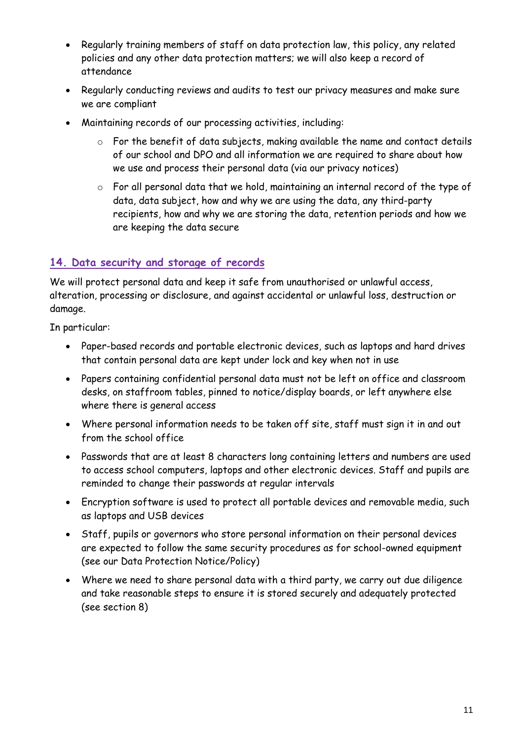- Regularly training members of staff on data protection law, this policy, any related policies and any other data protection matters; we will also keep a record of attendance
- Regularly conducting reviews and audits to test our privacy measures and make sure we are compliant
- Maintaining records of our processing activities, including:
	- o For the benefit of data subjects, making available the name and contact details of our school and DPO and all information we are required to share about how we use and process their personal data (via our privacy notices)
	- o For all personal data that we hold, maintaining an internal record of the type of data, data subject, how and why we are using the data, any third-party recipients, how and why we are storing the data, retention periods and how we are keeping the data secure

## **14. Data security and storage of records**

We will protect personal data and keep it safe from unauthorised or unlawful access, alteration, processing or disclosure, and against accidental or unlawful loss, destruction or damage.

In particular:

- Paper-based records and portable electronic devices, such as laptops and hard drives that contain personal data are kept under lock and key when not in use
- Papers containing confidential personal data must not be left on office and classroom desks, on staffroom tables, pinned to notice/display boards, or left anywhere else where there is general access
- Where personal information needs to be taken off site, staff must sign it in and out from the school office
- Passwords that are at least 8 characters long containing letters and numbers are used to access school computers, laptops and other electronic devices. Staff and pupils are reminded to change their passwords at regular intervals
- Encryption software is used to protect all portable devices and removable media, such as laptops and USB devices
- Staff, pupils or governors who store personal information on their personal devices are expected to follow the same security procedures as for school-owned equipment (see our Data Protection Notice/Policy)
- Where we need to share personal data with a third party, we carry out due diligence and take reasonable steps to ensure it is stored securely and adequately protected (see section 8)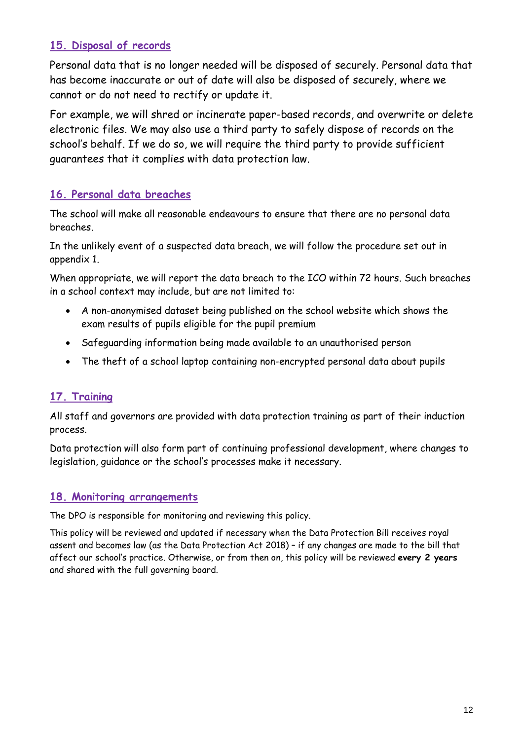## **15. Disposal of records**

Personal data that is no longer needed will be disposed of securely. Personal data that has become inaccurate or out of date will also be disposed of securely, where we cannot or do not need to rectify or update it.

For example, we will shred or incinerate paper-based records, and overwrite or delete electronic files. We may also use a third party to safely dispose of records on the school's behalf. If we do so, we will require the third party to provide sufficient guarantees that it complies with data protection law.

## **16. Personal data breaches**

The school will make all reasonable endeavours to ensure that there are no personal data breaches.

In the unlikely event of a suspected data breach, we will follow the procedure set out in appendix 1.

When appropriate, we will report the data breach to the ICO within 72 hours. Such breaches in a school context may include, but are not limited to:

- A non-anonymised dataset being published on the school website which shows the exam results of pupils eligible for the pupil premium
- Safeguarding information being made available to an unauthorised person
- The theft of a school laptop containing non-encrypted personal data about pupils

## **17. Training**

All staff and governors are provided with data protection training as part of their induction process.

Data protection will also form part of continuing professional development, where changes to legislation, guidance or the school's processes make it necessary.

## **18. Monitoring arrangements**

The DPO is responsible for monitoring and reviewing this policy.

This policy will be reviewed and updated if necessary when the Data Protection Bill receives royal assent and becomes law (as the Data Protection Act 2018) – if any changes are made to the bill that affect our school's practice. Otherwise, or from then on, this policy will be reviewed **every 2 years** and shared with the full governing board.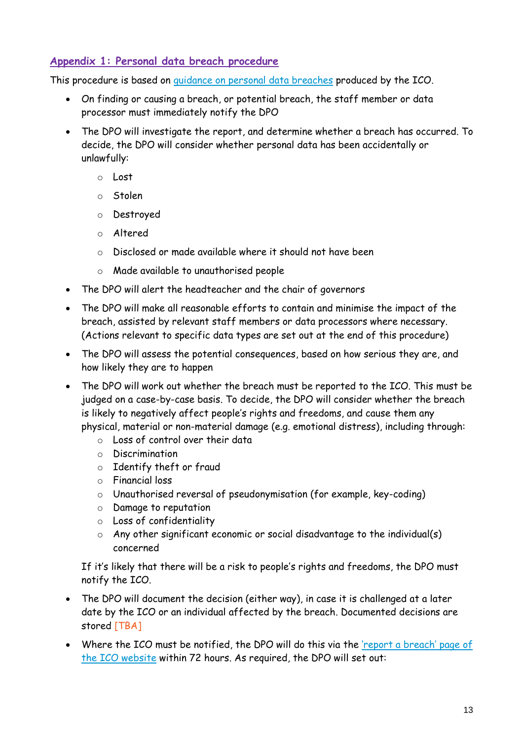## **Appendix 1: Personal data breach procedure**

This procedure is based on [guidance on personal data breaches](https://ico.org.uk/for-organisations/guide-to-the-general-data-protection-regulation-gdpr/personal-data-breaches/) produced by the ICO.

- On finding or causing a breach, or potential breach, the staff member or data processor must immediately notify the DPO
- The DPO will investigate the report, and determine whether a breach has occurred. To decide, the DPO will consider whether personal data has been accidentally or unlawfully:
	- o Lost
	- o Stolen
	- o Destroyed
	- o Altered
	- o Disclosed or made available where it should not have been
	- o Made available to unauthorised people
- The DPO will alert the headteacher and the chair of governors
- The DPO will make all reasonable efforts to contain and minimise the impact of the breach, assisted by relevant staff members or data processors where necessary. (Actions relevant to specific data types are set out at the end of this procedure)
- The DPO will assess the potential consequences, based on how serious they are, and how likely they are to happen
- The DPO will work out whether the breach must be reported to the ICO. This must be judged on a case-by-case basis. To decide, the DPO will consider whether the breach is likely to negatively affect people's rights and freedoms, and cause them any physical, material or non-material damage (e.g. emotional distress), including through:
	- o Loss of control over their data
	- o Discrimination
	- o Identify theft or fraud
	- o Financial loss
	- o Unauthorised reversal of pseudonymisation (for example, key-coding)
	- o Damage to reputation
	- o Loss of confidentiality
	- $\circ$  Any other significant economic or social disadvantage to the individual(s) concerned

If it's likely that there will be a risk to people's rights and freedoms, the DPO must notify the ICO.

- The DPO will document the decision (either way), in case it is challenged at a later date by the ICO or an individual affected by the breach. Documented decisions are stored [TBA]
- Where the ICO must be notified, the DPO will do this via the 'rep[ort a breach' page of](https://ico.org.uk/for-organisations/report-a-breach/)  [the ICO website](https://ico.org.uk/for-organisations/report-a-breach/) within 72 hours. As required, the DPO will set out: